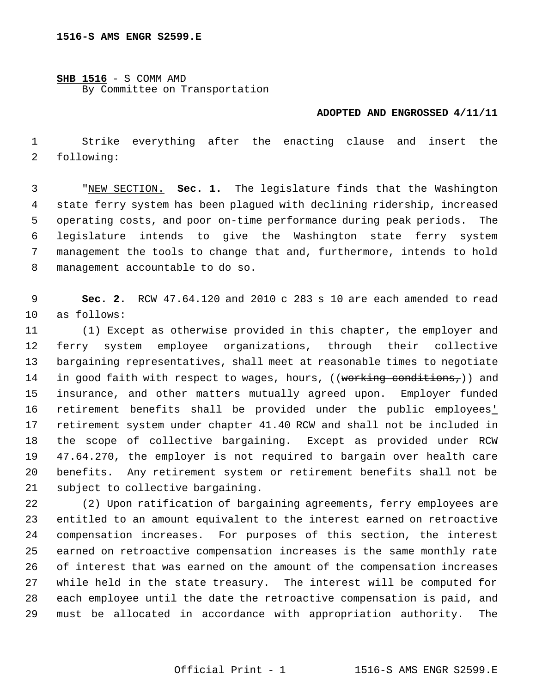## **SHB 1516** - S COMM AMD By Committee on Transportation

## **ADOPTED AND ENGROSSED 4/11/11**

 Strike everything after the enacting clause and insert the following:

 "NEW SECTION. **Sec. 1.** The legislature finds that the Washington state ferry system has been plagued with declining ridership, increased operating costs, and poor on-time performance during peak periods. The legislature intends to give the Washington state ferry system management the tools to change that and, furthermore, intends to hold management accountable to do so.

 **Sec. 2.** RCW 47.64.120 and 2010 c 283 s 10 are each amended to read as follows:

 (1) Except as otherwise provided in this chapter, the employer and ferry system employee organizations, through their collective bargaining representatives, shall meet at reasonable times to negotiate 14 in good faith with respect to wages, hours, ((working conditions,)) and insurance, and other matters mutually agreed upon. Employer funded retirement benefits shall be provided under the public employees' retirement system under chapter 41.40 RCW and shall not be included in the scope of collective bargaining. Except as provided under RCW 47.64.270, the employer is not required to bargain over health care benefits. Any retirement system or retirement benefits shall not be subject to collective bargaining.

 (2) Upon ratification of bargaining agreements, ferry employees are entitled to an amount equivalent to the interest earned on retroactive compensation increases. For purposes of this section, the interest earned on retroactive compensation increases is the same monthly rate of interest that was earned on the amount of the compensation increases while held in the state treasury. The interest will be computed for each employee until the date the retroactive compensation is paid, and must be allocated in accordance with appropriation authority. The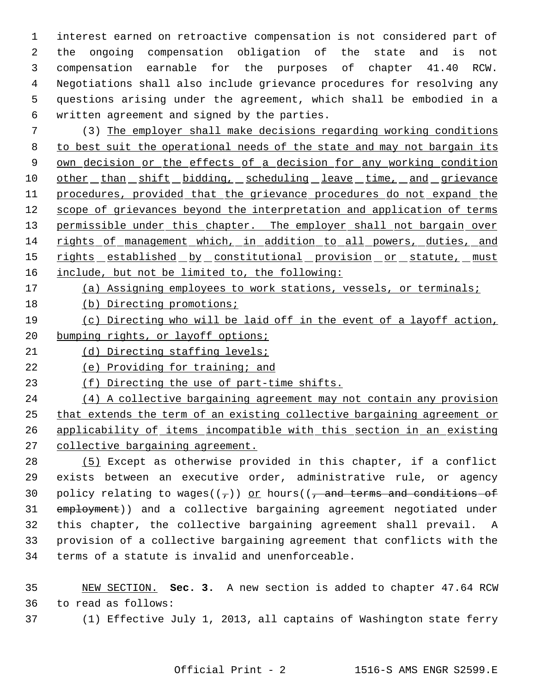interest earned on retroactive compensation is not considered part of the ongoing compensation obligation of the state and is not compensation earnable for the purposes of chapter 41.40 RCW. Negotiations shall also include grievance procedures for resolving any questions arising under the agreement, which shall be embodied in a written agreement and signed by the parties.

 (3) The employer shall make decisions regarding working conditions to best suit the operational needs of the state and may not bargain its 9 own decision or the effects of a decision for any working condition 10 other than shift bidding, scheduling leave time, and grievance procedures, provided that the grievance procedures do not expand the scope of grievances beyond the interpretation and application of terms 13 permissible under this chapter. The employer shall not bargain over rights of management which, in addition to all powers, duties, and 15 rights established by constitutional provision or statute, must include, but not be limited to, the following:

- 17 (a) Assigning employees to work stations, vessels, or terminals;
- (b) Directing promotions;
- (c) Directing who will be laid off in the event of a layoff action, 20 bumping rights, or layoff options;
- (d) Directing staffing levels;
- 22 (e) Providing for training; and

(f) Directing the use of part-time shifts.

 (4) A collective bargaining agreement may not contain any provision that extends the term of an existing collective bargaining agreement or applicability of items incompatible with this section in an existing collective bargaining agreement.

 (5) Except as otherwise provided in this chapter, if a conflict exists between an executive order, administrative rule, or agency 30 policy relating to wages( $(\tau)$ ) or hours( $(\tau)$  and terms and conditions of employment)) and a collective bargaining agreement negotiated under this chapter, the collective bargaining agreement shall prevail. A provision of a collective bargaining agreement that conflicts with the terms of a statute is invalid and unenforceable.

 NEW SECTION. **Sec. 3.** A new section is added to chapter 47.64 RCW to read as follows:

(1) Effective July 1, 2013, all captains of Washington state ferry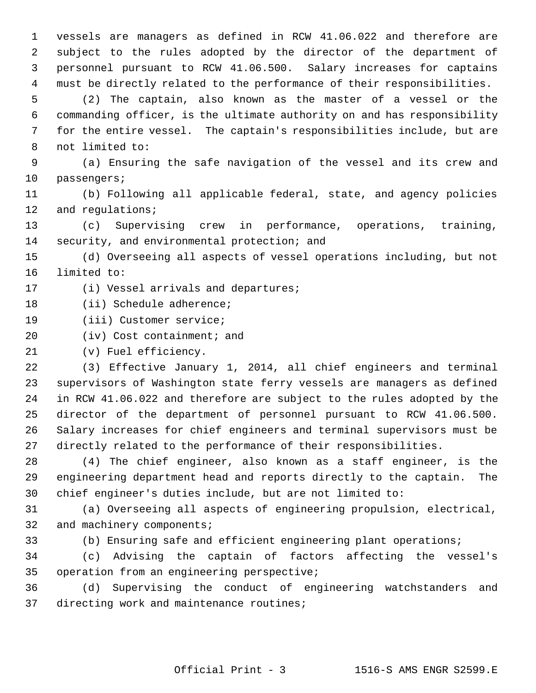vessels are managers as defined in RCW 41.06.022 and therefore are subject to the rules adopted by the director of the department of personnel pursuant to RCW 41.06.500. Salary increases for captains must be directly related to the performance of their responsibilities.

 (2) The captain, also known as the master of a vessel or the commanding officer, is the ultimate authority on and has responsibility for the entire vessel. The captain's responsibilities include, but are not limited to:

 (a) Ensuring the safe navigation of the vessel and its crew and passengers;

 (b) Following all applicable federal, state, and agency policies 12 and requlations;

 (c) Supervising crew in performance, operations, training, security, and environmental protection; and

 (d) Overseeing all aspects of vessel operations including, but not limited to:

17 (i) Vessel arrivals and departures;

(ii) Schedule adherence;

(iii) Customer service;

20 (iv) Cost containment; and

(v) Fuel efficiency.

 (3) Effective January 1, 2014, all chief engineers and terminal supervisors of Washington state ferry vessels are managers as defined in RCW 41.06.022 and therefore are subject to the rules adopted by the director of the department of personnel pursuant to RCW 41.06.500. Salary increases for chief engineers and terminal supervisors must be directly related to the performance of their responsibilities.

 (4) The chief engineer, also known as a staff engineer, is the engineering department head and reports directly to the captain. The chief engineer's duties include, but are not limited to:

 (a) Overseeing all aspects of engineering propulsion, electrical, 32 and machinery components;

(b) Ensuring safe and efficient engineering plant operations;

 (c) Advising the captain of factors affecting the vessel's operation from an engineering perspective;

 (d) Supervising the conduct of engineering watchstanders and directing work and maintenance routines;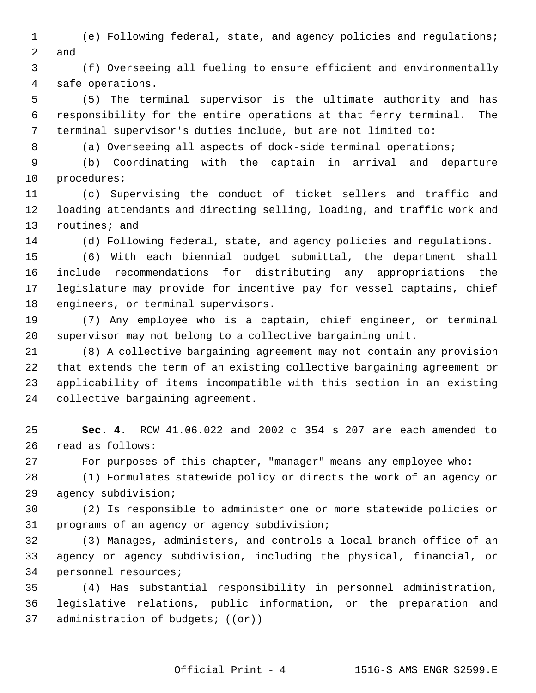(e) Following federal, state, and agency policies and regulations; and

 (f) Overseeing all fueling to ensure efficient and environmentally safe operations.

 (5) The terminal supervisor is the ultimate authority and has responsibility for the entire operations at that ferry terminal. The terminal supervisor's duties include, but are not limited to:

8 (a) Overseeing all aspects of dock-side terminal operations;

 (b) Coordinating with the captain in arrival and departure procedures;

 (c) Supervising the conduct of ticket sellers and traffic and loading attendants and directing selling, loading, and traffic work and routines; and

(d) Following federal, state, and agency policies and regulations.

 (6) With each biennial budget submittal, the department shall include recommendations for distributing any appropriations the legislature may provide for incentive pay for vessel captains, chief engineers, or terminal supervisors.

 (7) Any employee who is a captain, chief engineer, or terminal supervisor may not belong to a collective bargaining unit.

 (8) A collective bargaining agreement may not contain any provision that extends the term of an existing collective bargaining agreement or applicability of items incompatible with this section in an existing collective bargaining agreement.

 **Sec. 4.** RCW 41.06.022 and 2002 c 354 s 207 are each amended to read as follows:

For purposes of this chapter, "manager" means any employee who:

 (1) Formulates statewide policy or directs the work of an agency or agency subdivision;

 (2) Is responsible to administer one or more statewide policies or programs of an agency or agency subdivision;

 (3) Manages, administers, and controls a local branch office of an agency or agency subdivision, including the physical, financial, or personnel resources;

 (4) Has substantial responsibility in personnel administration, legislative relations, public information, or the preparation and 37 administration of budgets;  $((e^x))$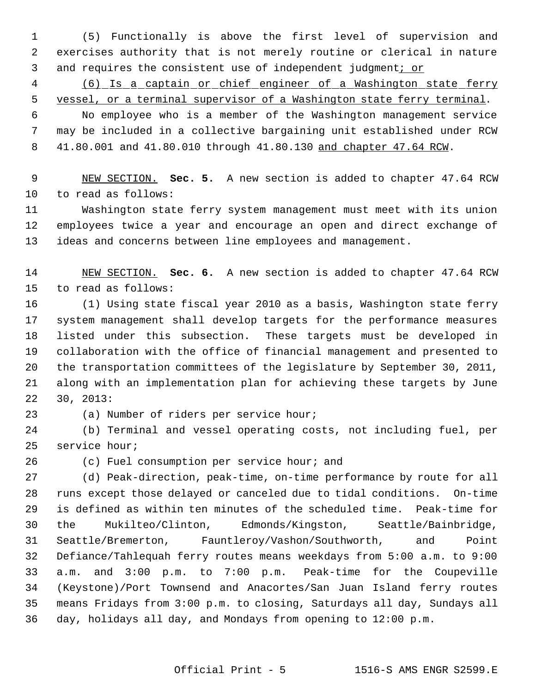(5) Functionally is above the first level of supervision and exercises authority that is not merely routine or clerical in nature 3 and requires the consistent use of independent judgment; or

 (6) Is a captain or chief engineer of a Washington state ferry 5 vessel, or a terminal supervisor of a Washington state ferry terminal.

 No employee who is a member of the Washington management service may be included in a collective bargaining unit established under RCW 41.80.001 and 41.80.010 through 41.80.130 and chapter 47.64 RCW.

 NEW SECTION. **Sec. 5.** A new section is added to chapter 47.64 RCW to read as follows:

 Washington state ferry system management must meet with its union employees twice a year and encourage an open and direct exchange of ideas and concerns between line employees and management.

 NEW SECTION. **Sec. 6.** A new section is added to chapter 47.64 RCW to read as follows:

 (1) Using state fiscal year 2010 as a basis, Washington state ferry system management shall develop targets for the performance measures listed under this subsection. These targets must be developed in collaboration with the office of financial management and presented to the transportation committees of the legislature by September 30, 2011, along with an implementation plan for achieving these targets by June 30, 2013:

(a) Number of riders per service hour;

 (b) Terminal and vessel operating costs, not including fuel, per service hour;

(c) Fuel consumption per service hour; and

 (d) Peak-direction, peak-time, on-time performance by route for all runs except those delayed or canceled due to tidal conditions. On-time is defined as within ten minutes of the scheduled time. Peak-time for the Mukilteo/Clinton, Edmonds/Kingston, Seattle/Bainbridge, Seattle/Bremerton, Fauntleroy/Vashon/Southworth, and Point Defiance/Tahlequah ferry routes means weekdays from 5:00 a.m. to 9:00 a.m. and 3:00 p.m. to 7:00 p.m. Peak-time for the Coupeville (Keystone)/Port Townsend and Anacortes/San Juan Island ferry routes means Fridays from 3:00 p.m. to closing, Saturdays all day, Sundays all day, holidays all day, and Mondays from opening to 12:00 p.m.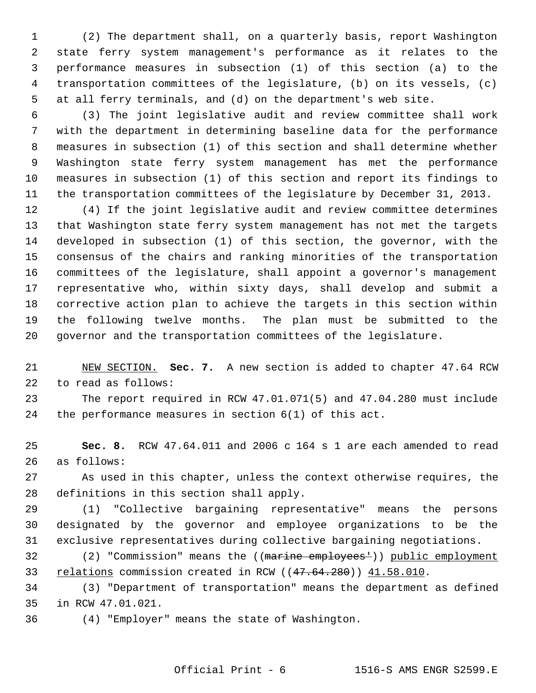(2) The department shall, on a quarterly basis, report Washington state ferry system management's performance as it relates to the performance measures in subsection (1) of this section (a) to the transportation committees of the legislature, (b) on its vessels, (c) at all ferry terminals, and (d) on the department's web site.

 (3) The joint legislative audit and review committee shall work with the department in determining baseline data for the performance measures in subsection (1) of this section and shall determine whether Washington state ferry system management has met the performance measures in subsection (1) of this section and report its findings to the transportation committees of the legislature by December 31, 2013.

 (4) If the joint legislative audit and review committee determines that Washington state ferry system management has not met the targets developed in subsection (1) of this section, the governor, with the consensus of the chairs and ranking minorities of the transportation committees of the legislature, shall appoint a governor's management representative who, within sixty days, shall develop and submit a corrective action plan to achieve the targets in this section within the following twelve months. The plan must be submitted to the governor and the transportation committees of the legislature.

 NEW SECTION. **Sec. 7.** A new section is added to chapter 47.64 RCW to read as follows:

 The report required in RCW 47.01.071(5) and 47.04.280 must include the performance measures in section 6(1) of this act.

 **Sec. 8.** RCW 47.64.011 and 2006 c 164 s 1 are each amended to read as follows:

 As used in this chapter, unless the context otherwise requires, the definitions in this section shall apply.

 (1) "Collective bargaining representative" means the persons designated by the governor and employee organizations to be the exclusive representatives during collective bargaining negotiations.

32 (2) "Commission" means the ((marine employees<sup>1</sup>)) public employment 33 relations commission created in RCW ((47.64.280)) 41.58.010.

 (3) "Department of transportation" means the department as defined in RCW 47.01.021.

(4) "Employer" means the state of Washington.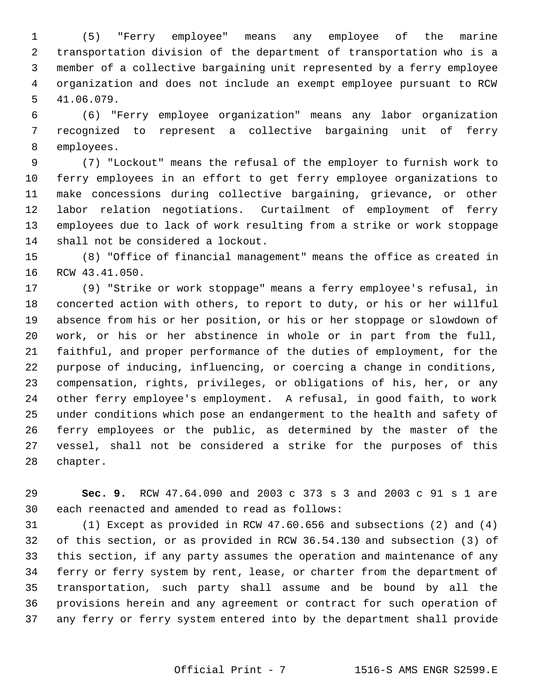(5) "Ferry employee" means any employee of the marine transportation division of the department of transportation who is a member of a collective bargaining unit represented by a ferry employee organization and does not include an exempt employee pursuant to RCW 41.06.079.

 (6) "Ferry employee organization" means any labor organization recognized to represent a collective bargaining unit of ferry employees.

 (7) "Lockout" means the refusal of the employer to furnish work to ferry employees in an effort to get ferry employee organizations to make concessions during collective bargaining, grievance, or other labor relation negotiations. Curtailment of employment of ferry employees due to lack of work resulting from a strike or work stoppage shall not be considered a lockout.

 (8) "Office of financial management" means the office as created in RCW 43.41.050.

 (9) "Strike or work stoppage" means a ferry employee's refusal, in concerted action with others, to report to duty, or his or her willful absence from his or her position, or his or her stoppage or slowdown of work, or his or her abstinence in whole or in part from the full, faithful, and proper performance of the duties of employment, for the purpose of inducing, influencing, or coercing a change in conditions, compensation, rights, privileges, or obligations of his, her, or any other ferry employee's employment. A refusal, in good faith, to work under conditions which pose an endangerment to the health and safety of ferry employees or the public, as determined by the master of the vessel, shall not be considered a strike for the purposes of this chapter.

 **Sec. 9.** RCW 47.64.090 and 2003 c 373 s 3 and 2003 c 91 s 1 are each reenacted and amended to read as follows:

 (1) Except as provided in RCW 47.60.656 and subsections (2) and (4) of this section, or as provided in RCW 36.54.130 and subsection (3) of this section, if any party assumes the operation and maintenance of any ferry or ferry system by rent, lease, or charter from the department of transportation, such party shall assume and be bound by all the provisions herein and any agreement or contract for such operation of any ferry or ferry system entered into by the department shall provide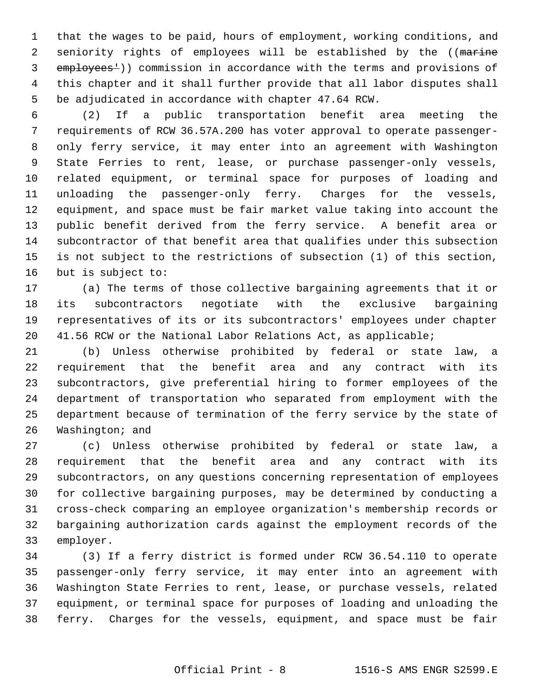that the wages to be paid, hours of employment, working conditions, and 2 seniority rights of employees will be established by the ((marine 3 employees<sup>1</sup>)) commission in accordance with the terms and provisions of this chapter and it shall further provide that all labor disputes shall be adjudicated in accordance with chapter 47.64 RCW.

 (2) If a public transportation benefit area meeting the requirements of RCW 36.57A.200 has voter approval to operate passenger- only ferry service, it may enter into an agreement with Washington State Ferries to rent, lease, or purchase passenger-only vessels, related equipment, or terminal space for purposes of loading and unloading the passenger-only ferry. Charges for the vessels, equipment, and space must be fair market value taking into account the public benefit derived from the ferry service. A benefit area or subcontractor of that benefit area that qualifies under this subsection is not subject to the restrictions of subsection (1) of this section, but is subject to:

 (a) The terms of those collective bargaining agreements that it or its subcontractors negotiate with the exclusive bargaining representatives of its or its subcontractors' employees under chapter 41.56 RCW or the National Labor Relations Act, as applicable;

 (b) Unless otherwise prohibited by federal or state law, a requirement that the benefit area and any contract with its subcontractors, give preferential hiring to former employees of the department of transportation who separated from employment with the department because of termination of the ferry service by the state of Washington; and

 (c) Unless otherwise prohibited by federal or state law, a requirement that the benefit area and any contract with its subcontractors, on any questions concerning representation of employees for collective bargaining purposes, may be determined by conducting a cross-check comparing an employee organization's membership records or bargaining authorization cards against the employment records of the employer.

 (3) If a ferry district is formed under RCW 36.54.110 to operate passenger-only ferry service, it may enter into an agreement with Washington State Ferries to rent, lease, or purchase vessels, related equipment, or terminal space for purposes of loading and unloading the ferry. Charges for the vessels, equipment, and space must be fair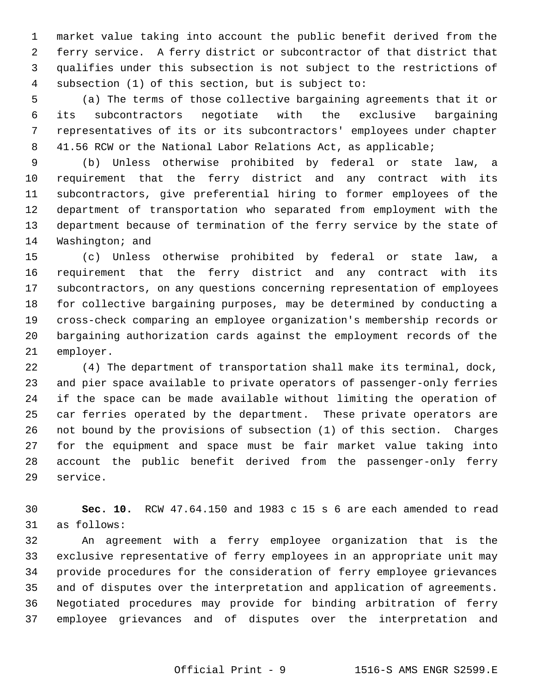market value taking into account the public benefit derived from the ferry service. A ferry district or subcontractor of that district that qualifies under this subsection is not subject to the restrictions of subsection (1) of this section, but is subject to:

 (a) The terms of those collective bargaining agreements that it or its subcontractors negotiate with the exclusive bargaining representatives of its or its subcontractors' employees under chapter 41.56 RCW or the National Labor Relations Act, as applicable;

 (b) Unless otherwise prohibited by federal or state law, a requirement that the ferry district and any contract with its subcontractors, give preferential hiring to former employees of the department of transportation who separated from employment with the department because of termination of the ferry service by the state of Washington; and

 (c) Unless otherwise prohibited by federal or state law, a requirement that the ferry district and any contract with its subcontractors, on any questions concerning representation of employees for collective bargaining purposes, may be determined by conducting a cross-check comparing an employee organization's membership records or bargaining authorization cards against the employment records of the employer.

 (4) The department of transportation shall make its terminal, dock, and pier space available to private operators of passenger-only ferries if the space can be made available without limiting the operation of car ferries operated by the department. These private operators are not bound by the provisions of subsection (1) of this section. Charges for the equipment and space must be fair market value taking into account the public benefit derived from the passenger-only ferry service.

 **Sec. 10.** RCW 47.64.150 and 1983 c 15 s 6 are each amended to read as follows:

 An agreement with a ferry employee organization that is the exclusive representative of ferry employees in an appropriate unit may provide procedures for the consideration of ferry employee grievances and of disputes over the interpretation and application of agreements. Negotiated procedures may provide for binding arbitration of ferry employee grievances and of disputes over the interpretation and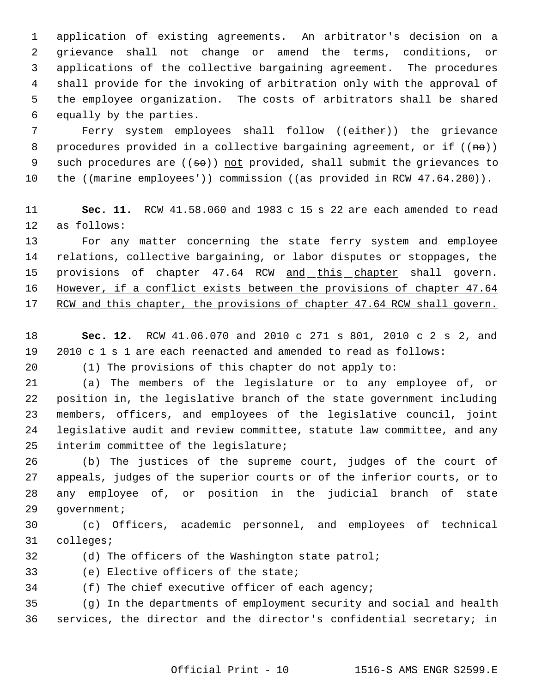application of existing agreements. An arbitrator's decision on a grievance shall not change or amend the terms, conditions, or applications of the collective bargaining agreement. The procedures shall provide for the invoking of arbitration only with the approval of the employee organization. The costs of arbitrators shall be shared equally by the parties.

 Ferry system employees shall follow ((either)) the grievance 8 procedures provided in a collective bargaining agreement, or if  $((ne))$ 9 such procedures are  $((\neq \theta))$  not provided, shall submit the grievances to 10 the ((marine employees<sup>1</sup>)) commission ((as provided in RCW 47.64.280)).

 **Sec. 11.** RCW 41.58.060 and 1983 c 15 s 22 are each amended to read as follows:

 For any matter concerning the state ferry system and employee relations, collective bargaining, or labor disputes or stoppages, the 15 provisions of chapter 47.64 RCW and this chapter shall govern. 16 However, if a conflict exists between the provisions of chapter 47.64 RCW and this chapter, the provisions of chapter 47.64 RCW shall govern.

- **Sec. 12.** RCW 41.06.070 and 2010 c 271 s 801, 2010 c 2 s 2, and 2010 c 1 s 1 are each reenacted and amended to read as follows:
- 

(1) The provisions of this chapter do not apply to:

 (a) The members of the legislature or to any employee of, or position in, the legislative branch of the state government including members, officers, and employees of the legislative council, joint legislative audit and review committee, statute law committee, and any interim committee of the legislature;

 (b) The justices of the supreme court, judges of the court of appeals, judges of the superior courts or of the inferior courts, or to any employee of, or position in the judicial branch of state government;

 (c) Officers, academic personnel, and employees of technical colleges;

(d) The officers of the Washington state patrol;

(e) Elective officers of the state;

(f) The chief executive officer of each agency;

 (g) In the departments of employment security and social and health services, the director and the director's confidential secretary; in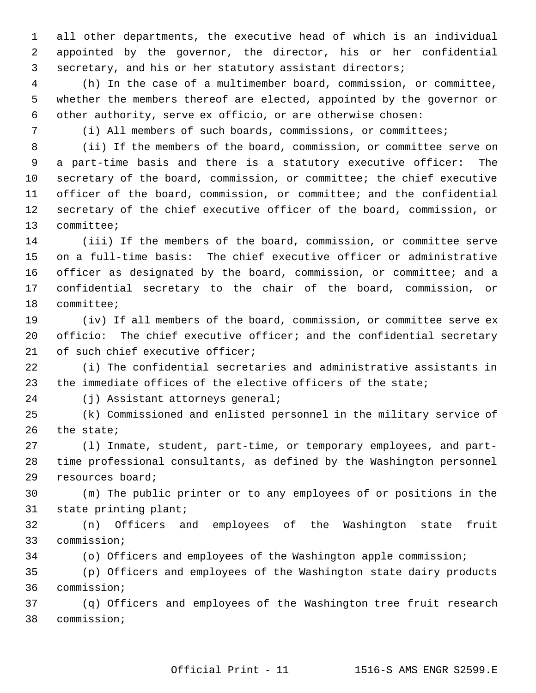all other departments, the executive head of which is an individual appointed by the governor, the director, his or her confidential secretary, and his or her statutory assistant directors;

 (h) In the case of a multimember board, commission, or committee, whether the members thereof are elected, appointed by the governor or other authority, serve ex officio, or are otherwise chosen:

(i) All members of such boards, commissions, or committees;

 (ii) If the members of the board, commission, or committee serve on a part-time basis and there is a statutory executive officer: The secretary of the board, commission, or committee; the chief executive officer of the board, commission, or committee; and the confidential secretary of the chief executive officer of the board, commission, or committee;

 (iii) If the members of the board, commission, or committee serve on a full-time basis: The chief executive officer or administrative officer as designated by the board, commission, or committee; and a confidential secretary to the chair of the board, commission, or committee;

 (iv) If all members of the board, commission, or committee serve ex officio: The chief executive officer; and the confidential secretary 21 of such chief executive officer;

 (i) The confidential secretaries and administrative assistants in the immediate offices of the elective officers of the state;

(j) Assistant attorneys general;

 (k) Commissioned and enlisted personnel in the military service of the state;

 (l) Inmate, student, part-time, or temporary employees, and part- time professional consultants, as defined by the Washington personnel resources board;

 (m) The public printer or to any employees of or positions in the state printing plant;

 (n) Officers and employees of the Washington state fruit commission;

(o) Officers and employees of the Washington apple commission;

 (p) Officers and employees of the Washington state dairy products commission;

 (q) Officers and employees of the Washington tree fruit research commission;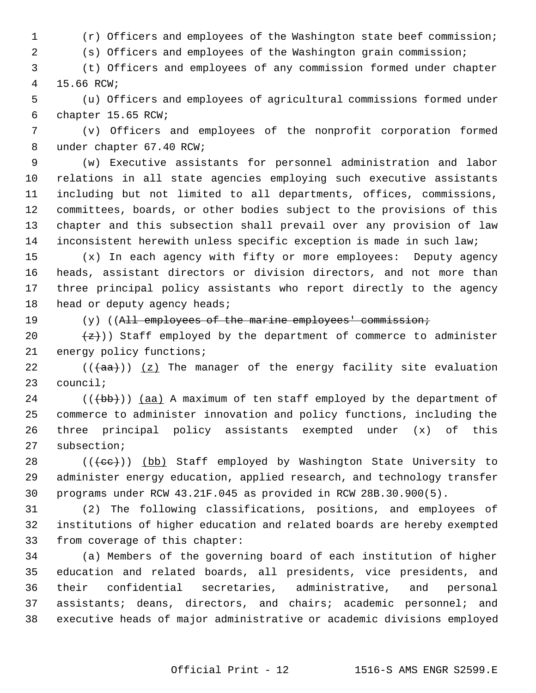(r) Officers and employees of the Washington state beef commission;

(s) Officers and employees of the Washington grain commission;

 (t) Officers and employees of any commission formed under chapter 15.66 RCW;

 (u) Officers and employees of agricultural commissions formed under chapter 15.65 RCW;

 (v) Officers and employees of the nonprofit corporation formed under chapter 67.40 RCW;

 (w) Executive assistants for personnel administration and labor relations in all state agencies employing such executive assistants including but not limited to all departments, offices, commissions, committees, boards, or other bodies subject to the provisions of this chapter and this subsection shall prevail over any provision of law inconsistent herewith unless specific exception is made in such law;

 (x) In each agency with fifty or more employees: Deputy agency heads, assistant directors or division directors, and not more than three principal policy assistants who report directly to the agency 18 head or deputy agency heads;

19 (y) ((All employees of the marine employees' commission;

20  $\{z\})$  Staff employed by the department of commerce to administer 21 energy policy functions;

22 ( $(\overline{+}a^2)$ ) (z) The manager of the energy facility site evaluation council;

 (( $\left(\frac{1}{100}\right)$ ) (aa) A maximum of ten staff employed by the department of commerce to administer innovation and policy functions, including the three principal policy assistants exempted under (x) of this subsection;

28 (((cc))) (bb) Staff employed by Washington State University to administer energy education, applied research, and technology transfer programs under RCW 43.21F.045 as provided in RCW 28B.30.900(5).

 (2) The following classifications, positions, and employees of institutions of higher education and related boards are hereby exempted from coverage of this chapter:

 (a) Members of the governing board of each institution of higher education and related boards, all presidents, vice presidents, and their confidential secretaries, administrative, and personal assistants; deans, directors, and chairs; academic personnel; and executive heads of major administrative or academic divisions employed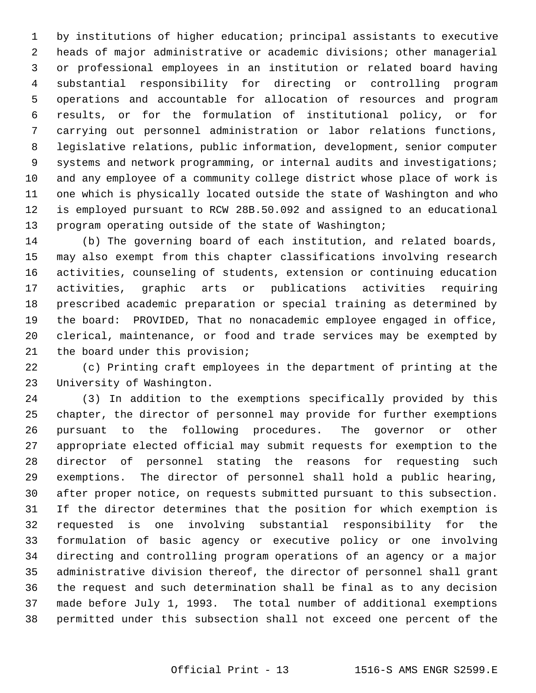by institutions of higher education; principal assistants to executive heads of major administrative or academic divisions; other managerial or professional employees in an institution or related board having substantial responsibility for directing or controlling program operations and accountable for allocation of resources and program results, or for the formulation of institutional policy, or for carrying out personnel administration or labor relations functions, legislative relations, public information, development, senior computer systems and network programming, or internal audits and investigations; and any employee of a community college district whose place of work is one which is physically located outside the state of Washington and who is employed pursuant to RCW 28B.50.092 and assigned to an educational 13 program operating outside of the state of Washington;

 (b) The governing board of each institution, and related boards, may also exempt from this chapter classifications involving research activities, counseling of students, extension or continuing education activities, graphic arts or publications activities requiring prescribed academic preparation or special training as determined by the board: PROVIDED, That no nonacademic employee engaged in office, clerical, maintenance, or food and trade services may be exempted by the board under this provision;

 (c) Printing craft employees in the department of printing at the University of Washington.

 (3) In addition to the exemptions specifically provided by this chapter, the director of personnel may provide for further exemptions pursuant to the following procedures. The governor or other appropriate elected official may submit requests for exemption to the director of personnel stating the reasons for requesting such exemptions. The director of personnel shall hold a public hearing, after proper notice, on requests submitted pursuant to this subsection. If the director determines that the position for which exemption is requested is one involving substantial responsibility for the formulation of basic agency or executive policy or one involving directing and controlling program operations of an agency or a major administrative division thereof, the director of personnel shall grant the request and such determination shall be final as to any decision made before July 1, 1993. The total number of additional exemptions permitted under this subsection shall not exceed one percent of the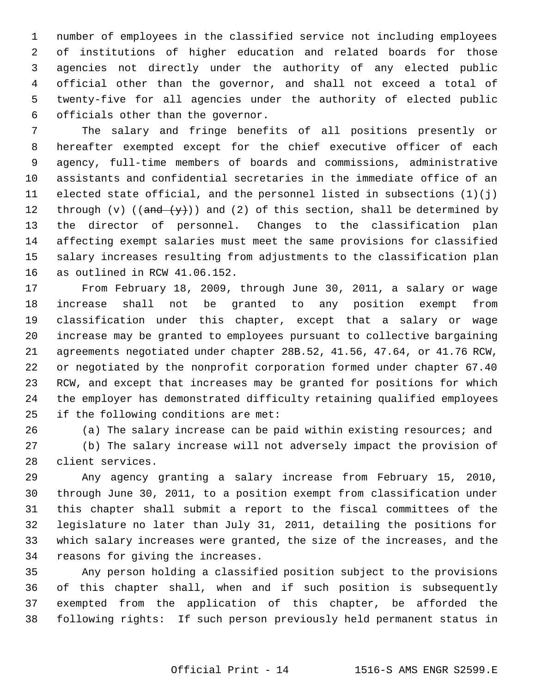number of employees in the classified service not including employees of institutions of higher education and related boards for those agencies not directly under the authority of any elected public official other than the governor, and shall not exceed a total of twenty-five for all agencies under the authority of elected public officials other than the governor.

 The salary and fringe benefits of all positions presently or hereafter exempted except for the chief executive officer of each agency, full-time members of boards and commissions, administrative assistants and confidential secretaries in the immediate office of an elected state official, and the personnel listed in subsections (1)(j) 12 through (v) (( $\frac{and}{y}$ )) and (2) of this section, shall be determined by the director of personnel. Changes to the classification plan affecting exempt salaries must meet the same provisions for classified salary increases resulting from adjustments to the classification plan as outlined in RCW 41.06.152.

 From February 18, 2009, through June 30, 2011, a salary or wage increase shall not be granted to any position exempt from classification under this chapter, except that a salary or wage increase may be granted to employees pursuant to collective bargaining agreements negotiated under chapter 28B.52, 41.56, 47.64, or 41.76 RCW, or negotiated by the nonprofit corporation formed under chapter 67.40 RCW, and except that increases may be granted for positions for which the employer has demonstrated difficulty retaining qualified employees if the following conditions are met:

(a) The salary increase can be paid within existing resources; and

 (b) The salary increase will not adversely impact the provision of client services.

 Any agency granting a salary increase from February 15, 2010, through June 30, 2011, to a position exempt from classification under this chapter shall submit a report to the fiscal committees of the legislature no later than July 31, 2011, detailing the positions for which salary increases were granted, the size of the increases, and the reasons for giving the increases.

 Any person holding a classified position subject to the provisions of this chapter shall, when and if such position is subsequently exempted from the application of this chapter, be afforded the following rights: If such person previously held permanent status in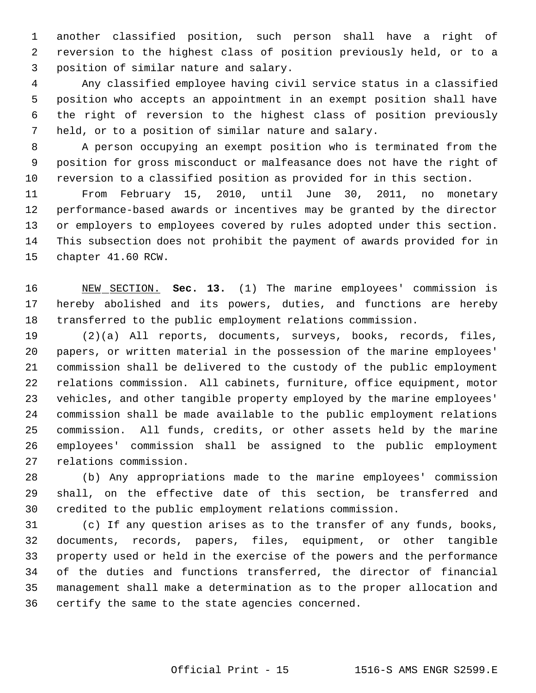another classified position, such person shall have a right of reversion to the highest class of position previously held, or to a position of similar nature and salary.

 Any classified employee having civil service status in a classified position who accepts an appointment in an exempt position shall have the right of reversion to the highest class of position previously held, or to a position of similar nature and salary.

 A person occupying an exempt position who is terminated from the position for gross misconduct or malfeasance does not have the right of reversion to a classified position as provided for in this section.

 From February 15, 2010, until June 30, 2011, no monetary performance-based awards or incentives may be granted by the director or employers to employees covered by rules adopted under this section. This subsection does not prohibit the payment of awards provided for in chapter 41.60 RCW.

 NEW SECTION. **Sec. 13.** (1) The marine employees' commission is hereby abolished and its powers, duties, and functions are hereby transferred to the public employment relations commission.

 (2)(a) All reports, documents, surveys, books, records, files, papers, or written material in the possession of the marine employees' commission shall be delivered to the custody of the public employment relations commission. All cabinets, furniture, office equipment, motor vehicles, and other tangible property employed by the marine employees' commission shall be made available to the public employment relations commission. All funds, credits, or other assets held by the marine employees' commission shall be assigned to the public employment relations commission.

 (b) Any appropriations made to the marine employees' commission shall, on the effective date of this section, be transferred and credited to the public employment relations commission.

 (c) If any question arises as to the transfer of any funds, books, documents, records, papers, files, equipment, or other tangible property used or held in the exercise of the powers and the performance of the duties and functions transferred, the director of financial management shall make a determination as to the proper allocation and certify the same to the state agencies concerned.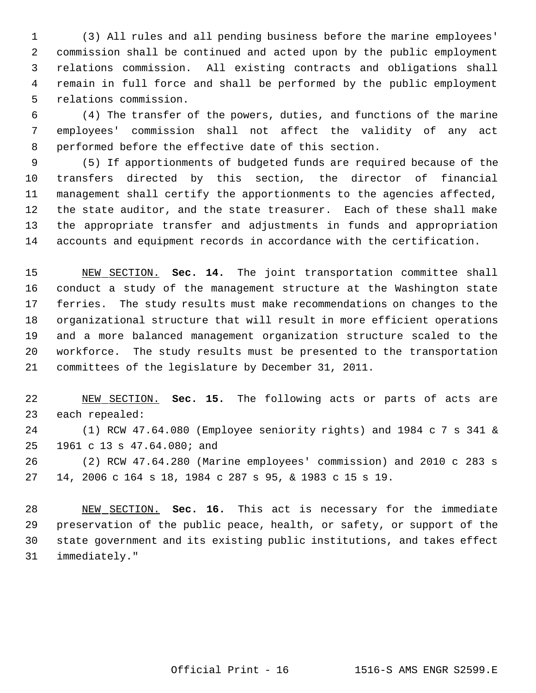(3) All rules and all pending business before the marine employees' commission shall be continued and acted upon by the public employment relations commission. All existing contracts and obligations shall remain in full force and shall be performed by the public employment relations commission.

 (4) The transfer of the powers, duties, and functions of the marine employees' commission shall not affect the validity of any act performed before the effective date of this section.

 (5) If apportionments of budgeted funds are required because of the transfers directed by this section, the director of financial management shall certify the apportionments to the agencies affected, the state auditor, and the state treasurer. Each of these shall make the appropriate transfer and adjustments in funds and appropriation accounts and equipment records in accordance with the certification.

 NEW SECTION. **Sec. 14.** The joint transportation committee shall conduct a study of the management structure at the Washington state ferries. The study results must make recommendations on changes to the organizational structure that will result in more efficient operations and a more balanced management organization structure scaled to the workforce. The study results must be presented to the transportation committees of the legislature by December 31, 2011.

 NEW SECTION. **Sec. 15.** The following acts or parts of acts are each repealed:

 (1) RCW 47.64.080 (Employee seniority rights) and 1984 c 7 s 341 & 1961 c 13 s 47.64.080; and

 (2) RCW 47.64.280 (Marine employees' commission) and 2010 c 283 s 14, 2006 c 164 s 18, 1984 c 287 s 95, & 1983 c 15 s 19.

 NEW SECTION. **Sec. 16.** This act is necessary for the immediate preservation of the public peace, health, or safety, or support of the state government and its existing public institutions, and takes effect immediately."